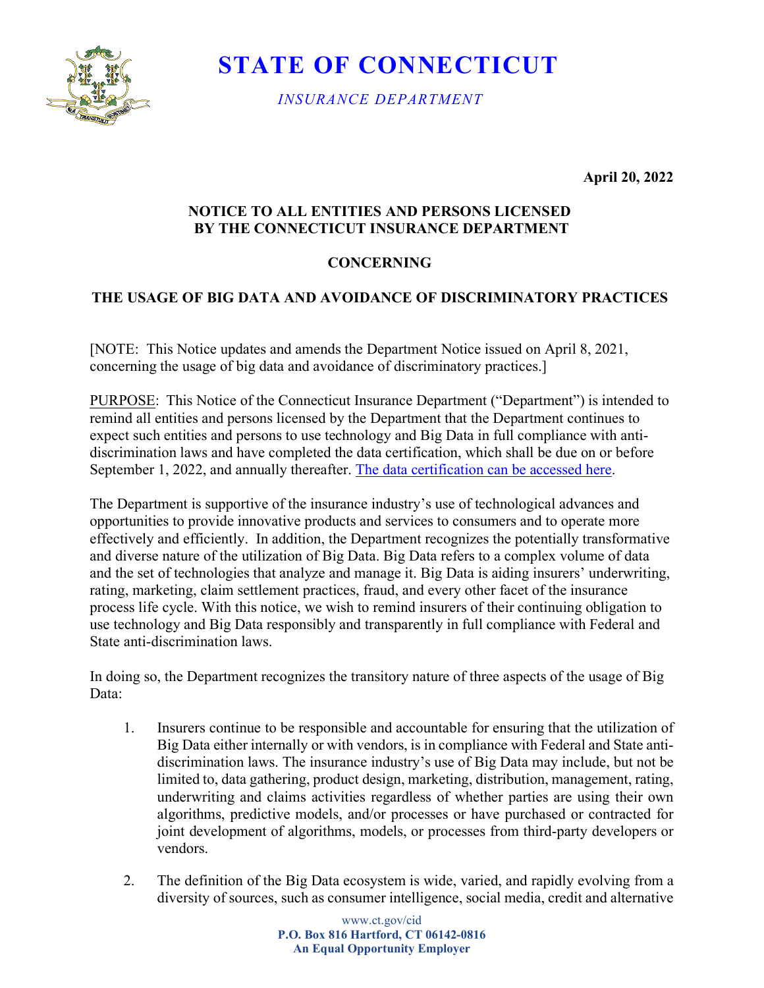

 **STATE OF CONNECTICUT**

 *INSURANCE DEPARTMENT*

**April 20, 2022** 

## **NOTICE TO ALL ENTITIES AND PERSONS LICENSED BY THE CONNECTICUT INSURANCE DEPARTMENT**

## **CONCERNING**

## **THE USAGE OF BIG DATA AND AVOIDANCE OF DISCRIMINATORY PRACTICES**

[NOTE: This Notice updates and amends the Department Notice issued on April 8, 2021, concerning the usage of big data and avoidance of discriminatory practices.]

PURPOSE: This Notice of the Connecticut Insurance Department ("Department") is intended to remind all entities and persons licensed by the Department that the Department continues to expect such entities and persons to use technology and Big Data in full compliance with antidiscrimination laws and have completed the data certification, which shall be due on or before September 1, 2022, and annually thereafter. [The data certification can be accessed here.](https://powerforms.docusign.net/0877eee5-3b22-418f-a09d-c46d26f42d05?env=na4&acct=a01cacf4-02c1-495f-ae15-76f35557ae38&accountId=a01cacf4-02c1-495f-ae15-76f35557ae38)

The Department is supportive of the insurance industry's use of technological advances and opportunities to provide innovative products and services to consumers and to operate more effectively and efficiently. In addition, the Department recognizes the potentially transformative and diverse nature of the utilization of Big Data. Big Data refers to a complex volume of data and the set of technologies that analyze and manage it. Big Data is aiding insurers' underwriting, rating, marketing, claim settlement practices, fraud, and every other facet of the insurance process life cycle. With this notice, we wish to remind insurers of their continuing obligation to use technology and Big Data responsibly and transparently in full compliance with Federal and State anti-discrimination laws.

In doing so, the Department recognizes the transitory nature of three aspects of the usage of Big Data:

- 1. Insurers continue to be responsible and accountable for ensuring that the utilization of Big Data either internally or with vendors, is in compliance with Federal and State antidiscrimination laws. The insurance industry's use of Big Data may include, but not be limited to, data gathering, product design, marketing, distribution, management, rating, underwriting and claims activities regardless of whether parties are using their own algorithms, predictive models, and/or processes or have purchased or contracted for joint development of algorithms, models, or processes from third-party developers or vendors.
- 2. The definition of the Big Data ecosystem is wide, varied, and rapidly evolving from a diversity of sources, such as consumer intelligence, social media, credit and alternative

www.ct.gov/cid **P.O. Box 816 Hartford, CT 06142-0816 An Equal Opportunity Employer**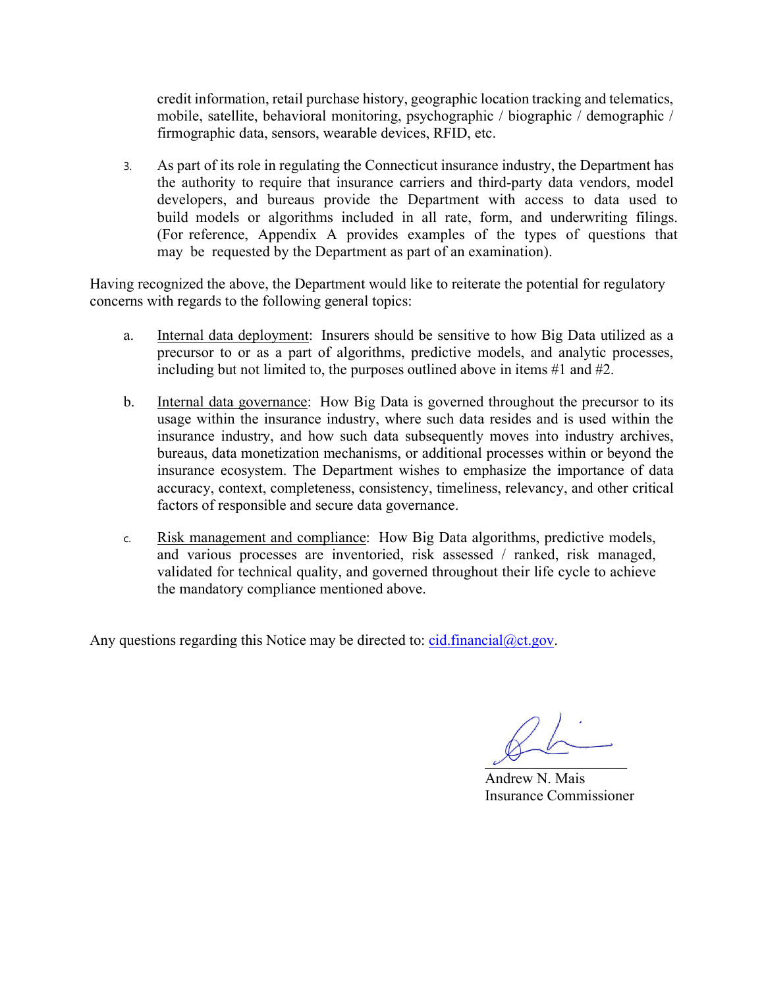credit information, retail purchase history, geographic location tracking and telematics, mobile, satellite, behavioral monitoring, psychographic / biographic / demographic / firmographic data, sensors, wearable devices, RFID, etc.

3. As part of its role in regulating the Connecticut insurance industry, the Department has the authority to require that insurance carriers and third-party data vendors, model developers, and bureaus provide the Department with access to data used to build models or algorithms included in all rate, form, and underwriting filings. (For reference, Appendix A provides examples of the types of questions that may be requested by the Department as part of an examination).

Having recognized the above, the Department would like to reiterate the potential for regulatory concerns with regards to the following general topics:

- a. Internal data deployment: Insurers should be sensitive to how Big Data utilized as a precursor to or as a part of algorithms, predictive models, and analytic processes, including but not limited to, the purposes outlined above in items #1 and #2.
- b. Internal data governance: How Big Data is governed throughout the precursor to its usage within the insurance industry, where such data resides and is used within the insurance industry, and how such data subsequently moves into industry archives, bureaus, data monetization mechanisms, or additional processes within or beyond the insurance ecosystem. The Department wishes to emphasize the importance of data accuracy, context, completeness, consistency, timeliness, relevancy, and other critical factors of responsible and secure data governance.
- c. Risk management and compliance: How Big Data algorithms, predictive models, and various processes are inventoried, risk assessed / ranked, risk managed, validated for technical quality, and governed throughout their life cycle to achieve the mandatory compliance mentioned above.

Any questions regarding this Notice may be directed to:  $cid-financial@ct.gov$ .

 $\sim$ 

Andrew N. Mais Insurance Commissioner